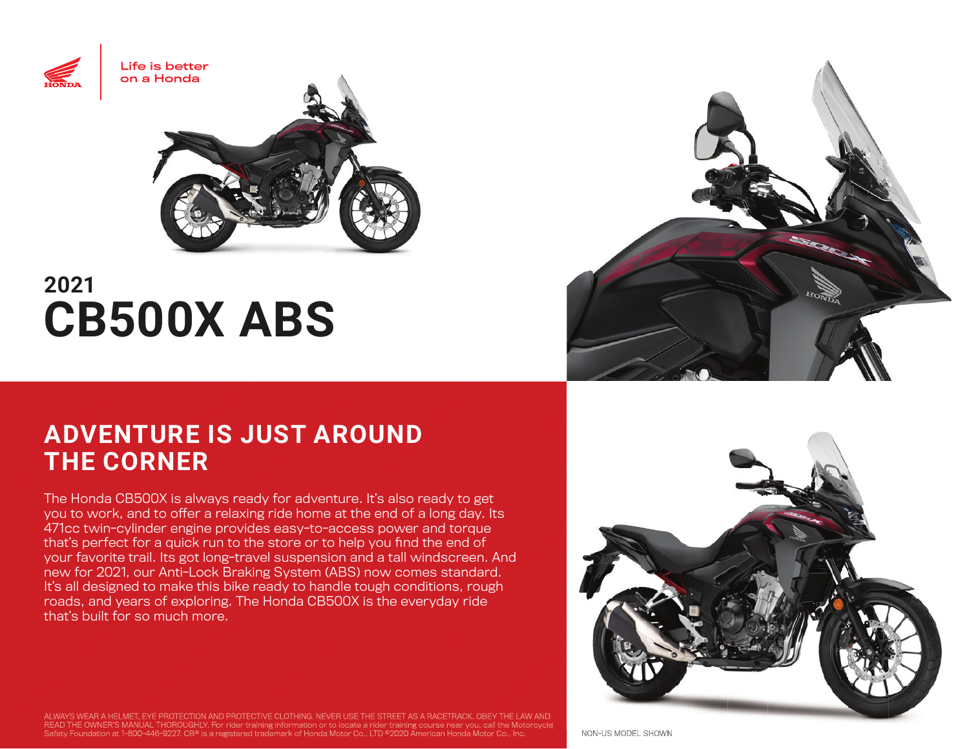

# **2021 CB500X ABS**

## **ADVENTURE IS JUST AROUND THE CORNER**

The Honda CB500X is always ready for adventure. It's also ready to get you to work, and to offer a relaxing ride home at the end of a long day. Its 471cc twin-cylinder engine provides easy-to-access power and torque that's perfect for a quick run to the store or to help you find the end of your favorite trail. Its got long-travel suspension and a tall windscreen. And new for 2021, our Anti-Lock Braking System (ABS) now comes standard. It's all designed to make this bike ready to handle tough conditions, rough roads, and years of exploring. The Honda CB500X is the everyday ride that's built for so much more.





ALWAYS WEAR A HELMET, EYE PROTECTION AND PROTECTIVE CLOTHING. NEVER USE THE STREET AS A RACETRACK. OBEY THE LAW AND READ THE OWNER'S MANUAL THOROUGHLY. For rider training information or to locate a rider training course near you, call the Motorcycle Safety Foundation at 1-800-446-9227. CB® is a registered trademark of Honda Motor Co., LTD ©2020 American Honda Motor Co., Inc. Non-US MODEL SHOWN